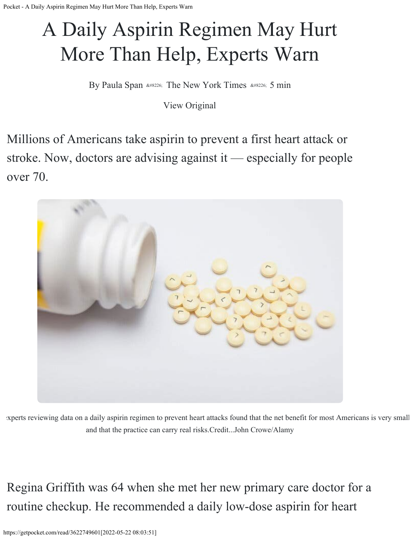## A Daily Aspirin Regimen May Hurt More Than Help, Experts Warn

By Paula Span • The New York Times • 5 min

[View Original](https://www.nytimes.com/2022/05/21/health/elderly-aspirin-heart-attack.html?utm_source=pocket_mylist)

Millions of Americans take aspirin to prevent a first heart attack or stroke. Now, doctors are advising against it — especially for people over 70.



 experts reviewing data on a daily aspirin regimen to prevent heart attacks found that the net benefit for most Americans is very small and that the practice can carry real risks.Credit...John Crowe/Alamy

Regina Griffith was 64 when she met her new primary care doctor for a routine checkup. He recommended a daily low-dose aspirin for heart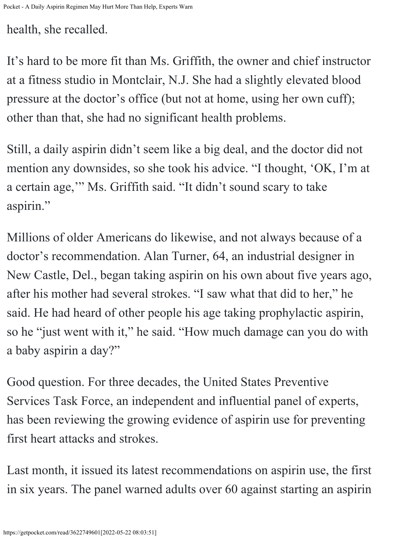health, she recalled.

It's hard to be more fit than Ms. Griffith, the owner and chief instructor at a fitness studio in Montclair, N.J. She had a slightly elevated blood pressure at the doctor's office (but not at home, using her own cuff); other than that, she had no significant health problems.

Still, a daily aspirin didn't seem like a big deal, and the doctor did not mention any downsides, so she took his advice. "I thought, 'OK, I'm at a certain age,'" Ms. Griffith said. "It didn't sound scary to take aspirin."

Millions of older Americans do likewise, and not always because of a doctor's recommendation. Alan Turner, 64, an industrial designer in New Castle, Del., began taking aspirin on his own about five years ago, after his mother had several strokes. "I saw what that did to her," he said. He had heard of other people his age taking prophylactic aspirin, so he "just went with it," he said. "How much damage can you do with a baby aspirin a day?"

Good question. For three decades, the United States Preventive Services Task Force, an independent and influential panel of experts, has been reviewing the growing evidence of aspirin use for preventing first heart attacks and strokes.

Lastmonth, it issued its latest recommendations on aspirin use, the first in six years. The panel warned adults over 60 against starting an aspirin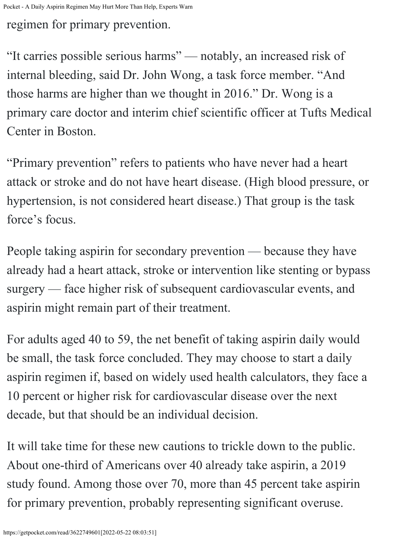regimen for primary prevention.

"It carries possible serious harms" — notably, an increased risk of internal bleeding, said Dr. John Wong, a task force member. "And those harms are higher than we thought in 2016." Dr. Wong is a primary care doctor and interim chief scientific officer at Tufts Medical Center in Boston.

"Primary prevention" refers to patients who have never had a heart attack or stroke and do not have heart disease. (High blood pressure, or hypertension, is not considered heart disease.) That group is [the task](https://uspreventiveservicestaskforce.org/uspstf/sites/default/files/inline-files/lets-talk-about-it-aspirin-cvd-prevention-guide.pdf) . [force's focus](https://uspreventiveservicestaskforce.org/uspstf/sites/default/files/inline-files/lets-talk-about-it-aspirin-cvd-prevention-guide.pdf)

People taking aspirin for secondary prevention — because they have already had a heart attack, stroke or intervention like stenting or bypass surgery — face higher risk of subsequent cardiovascular events, and aspirin might remain part of their treatment.

For adults aged 40 to 59, the net benefit of taking aspirin daily would be small, the task force concluded. They may choose to start a daily aspirin regimen if, based on widely used health calculators, they face a 10 percent or higher risk for cardiovascular disease over the next decade, but that should be an individual decision.

It will take time for these new cautions to trickle down to the public. About one-third of Americans over 40 already take aspirin, a 2019 study found. Among those [over 70, more than 45 percent take aspirin](https://pubmed.ncbi.nlm.nih.gov/34632437/)for primary prevention, probably representing significant overuse.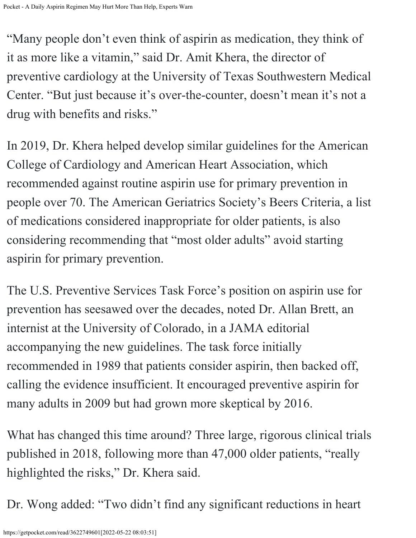"Many people don't even think of aspirin as medication, they think of it as more like a vitamin," said Dr. Amit Khera, the director of preventive cardiology at the University of Texas Southwestern Medical Center. "But just because it's over-the-counter, doesn't mean it's not a drug with benefits and risks."

In 2019, Dr. Khera helped develop similar guidelines for the American College of Cardiology and American Heart Association, which recommended against routine aspirin use for primary prevention in people over 70. The American Geriatrics Society's Beers Criteria, a list of medications considered inappropriate for older patients, is also considering recommending that "most older adults" avoid starting aspirin for primary prevention.

The U.S. Preventive Services Task Force's position on aspirin use for prevention has seesawed over the decades, noted Dr. Allan Brett, an internist at the University of Colorado, in [a JAMA editorial](https://jamanetwork.com/journals/jama/article-abstract/2791432) accompanying the new guidelines. The task force initially recommended in 1989 that patients consider aspirin, then backed off, calling the evidence insufficient. It encouraged preventive aspirin for many adults in 2009 but had grown more skeptical by 2016.

What has changed this time around? Three large, rigorous clinical trials published in 2018, following more than 47,000 older patients, "really highlighted the risks," Dr. Khera said.

Dr.Wong added: "Two didn't find any significant reductions in heart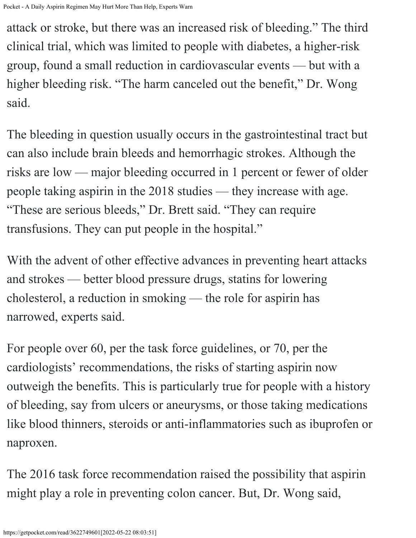Pocket - A Daily Aspirin Regimen May Hurt More Than Help, Experts Warn

attackor stroke, but there was an increased risk of bleeding." The [third](https://pubmed.ncbi.nlm.nih.gov/30146931/) [clinical trial](https://pubmed.ncbi.nlm.nih.gov/30146931/), which was limited to people with diabetes, a higher-risk group, found a small reduction in cardiovascular events — but with a higher bleeding risk. "The harm canceled out the benefit," Dr. Wong said.

The bleeding in question usually occurs in the gastrointestinal tract but can also include brain bleeds and hemorrhagic strokes. Although the risks are low — major bleeding occurred in 1 percent or fewer of older peopletaking aspirin in the 2018 studies — they increase with age. "These are serious bleeds," Dr. Brett said. "They can require transfusions. They can put people in the hospital."

With the advent of other effective advances in preventing heart attacks and strokes — better blood pressure drugs, statins for lowering cholesterol, a reduction in smoking — the role for aspirin has narrowed, experts said.

For people over 60, per the task force guidelines, or 70, per the cardiologists' recommendations, the risks of starting aspirin now outweigh the benefits. This is particularly true for people with a history of bleeding, say from ulcers or aneurysms, or those taking medications like blood thinners, steroids or anti-inflammatories such as ibuprofen or naproxen.

The 2016 task force recommendation raised the possibility that aspirin might play a role in preventing colon cancer. But, Dr. Wong said,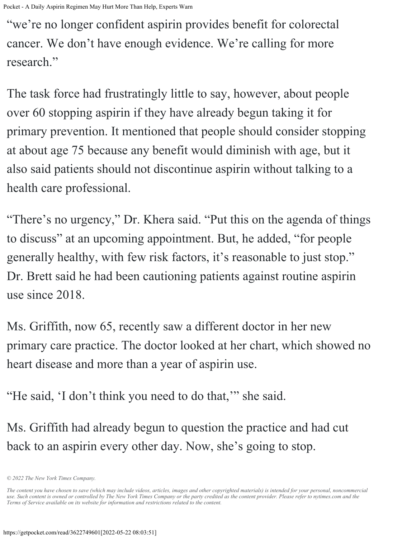Pocket - A Daily Aspirin Regimen May Hurt More Than Help, Experts Warn

"we're no longer confident aspirin provides benefit for colorectal cancer. We don't have enough evidence. We're calling for more research."

The task force had frustratingly little to say, however, about people over 60 stopping aspirin if they have already begun taking it for primary prevention. It mentioned that people should consider stopping at about age 75 because any benefit would diminish with age, but it also said patients should not discontinue aspirin without talking to a health care professional.

"There's no urgency," Dr. Khera said. "Put this on the agenda of things to discuss" at an upcoming appointment. But, he added, "for people generally healthy, with few risk factors, it's reasonable to just stop." Dr. Brett said he had been cautioning patients against routine aspirin use since 2018.

Ms. Griffith, now 65, recently saw a different doctor in her new primary care practice. The doctor looked at her chart, which showed no heart disease and more than a year of aspirin use.

"He said, 'I don't think you need to do that,'" she said.

Ms. Griffith had already begun to question the practice and had cut back to an aspirin every other day. Now, she's going to stop.

*<sup>© 2022</sup> The New York Times Company.*

*The content you have chosen to save (which may include videos, articles, images and other copyrighted materials) is intended for your personal, noncommercial use. Such content is owned or controlled by The New York Times Company or the party credited as the content provider. Please refer to nytimes.com and the Terms of Service available on its website for information and restrictions related to the content.*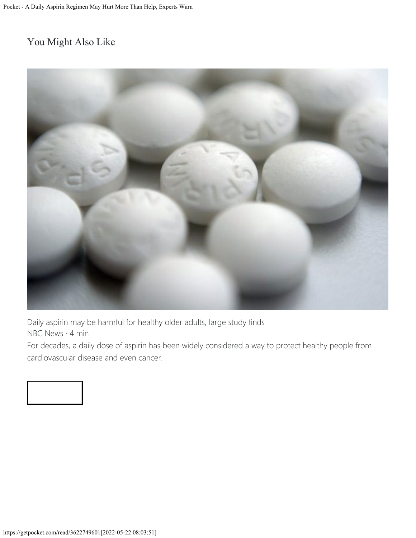## You Might Also Like



[Daily aspirin may be harmful for healthy older adults, large study finds](https://www.nbcnews.com/health/heart-health/daily-aspirin-may-be-harmful-healthy-older-adults-large-study-n909791?utm_source=pocket_rec) [NBC News](https://www.nbcnews.com/health/heart-health/daily-aspirin-may-be-harmful-healthy-older-adults-large-study-n909791?utm_source=pocket_rec) · 4 min

For decades, a daily dose of aspirin has been widely considered a way to protect healthy people from cardiovascular disease and even cancer.

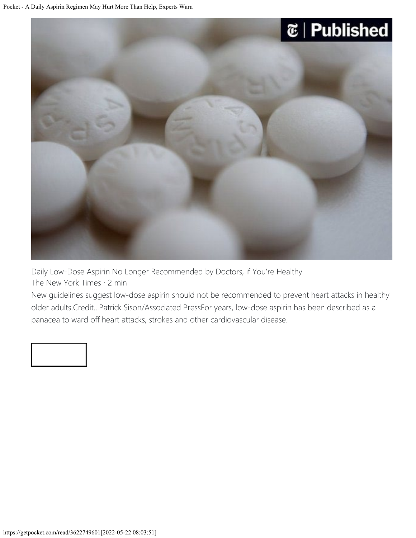



[Daily Low-Dose Aspirin No Longer Recommended by Doctors, if You're Healthy](https://www.nytimes.com/2019/03/18/health/aspirin-health.html?utm_source=pocket_rec) [The New York Times](https://www.nytimes.com/2019/03/18/health/aspirin-health.html?utm_source=pocket_rec) · 2 min

New guidelines suggest low-dose aspirin should not be recommended to prevent heart attacks in healthy older adults.Credit...Patrick Sison/Associated PressFor years, low-dose aspirin has been described as a panacea to ward off heart attacks, strokes and other cardiovascular disease.

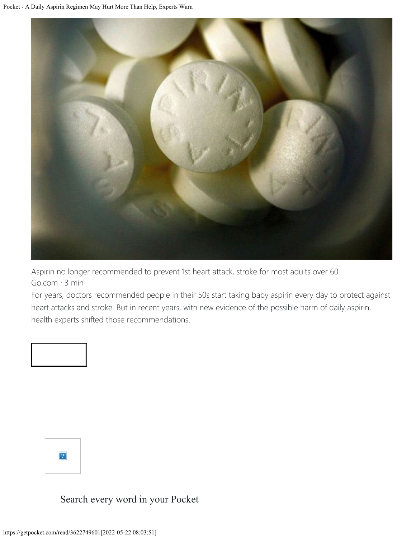

[Aspirin no longer recommended to prevent 1st heart attack, stroke for most adults over 60](https://abcnews.go.com/Health/aspirin-longer-recommended-prevent-1st-heart-attack-stroke/story?id=84300242&utm_source=pocket_rec) [Go.com](https://abcnews.go.com/Health/aspirin-longer-recommended-prevent-1st-heart-attack-stroke/story?id=84300242&utm_source=pocket_rec) · 3 min

For years, doctors recommended people in their 50s start taking baby aspirin every day to protect against heart attacks and stroke. But in recent years, with new evidence of the possible harm of daily aspirin, health experts shifted those recommendations.





Search every word in your Pocket